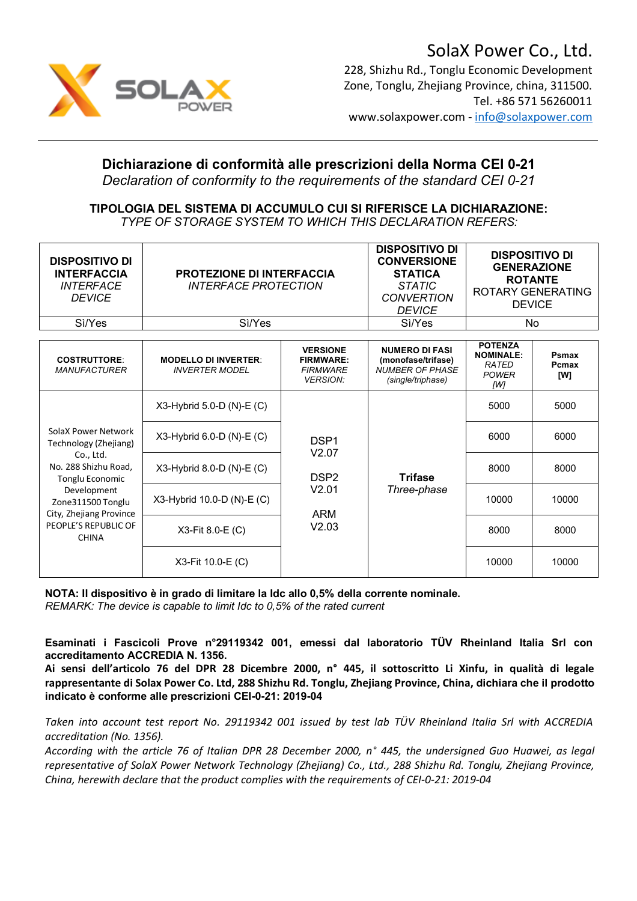

### SolaX Power Co., Ltd. 228, Shizhu Rd., Tonglu Economic Development Zone, Tonglu, Zhejiang Province, china, 311500. Tel. +86 571 56260011 www.solaxpower.com - info@solaxpower.com

## **Dichiarazione di conformità alle prescrizioni della Norma CEI 0-21**

*Declaration of conformity to the requirements of the standard CEI 0-21*

#### **TIPOLOGIA DEL SISTEMA DI ACCUMULO CUI SI RIFERISCE LA DICHIARAZIONE:** *TYPE OF STORAGE SYSTEM TO WHICH THIS DECLARATION REFERS:*

| <b>DISPOSITIVO DI</b><br><b>INTERFACCIA</b><br><b>INTERFACE</b><br><b>DEVICE</b>                                                                                                                                   | <b>PROTEZIONE DI INTERFACCIA</b><br><i><b>INTERFACE PROTECTION</b></i> |                                                                               | <b>DISPOSITIVO DI</b><br><b>CONVERSIONE</b><br><b>STATICA</b><br><b>STATIC</b><br><b>CONVERTION</b><br><b>DEVICE</b> | <b>DISPOSITIVO DI</b><br><b>GENERAZIONE</b><br><b>ROTANTE</b><br><b>ROTARY GENERATING</b><br><b>DEVICE</b> |                       |
|--------------------------------------------------------------------------------------------------------------------------------------------------------------------------------------------------------------------|------------------------------------------------------------------------|-------------------------------------------------------------------------------|----------------------------------------------------------------------------------------------------------------------|------------------------------------------------------------------------------------------------------------|-----------------------|
| Sì/Yes                                                                                                                                                                                                             | Sì/Yes                                                                 |                                                                               | Sì/Yes                                                                                                               | No                                                                                                         |                       |
| <b>COSTRUTTORE:</b><br><b>MANUFACTURER</b>                                                                                                                                                                         | <b>MODELLO DI INVERTER:</b><br><b>INVERTER MODEL</b>                   | <b>VERSIONE</b><br><b>FIRMWARE:</b><br><b>FIRMWARE</b><br><b>VERSION:</b>     | <b>NUMERO DI FASI</b><br>(monofase/trifase)<br><b>NUMBER OF PHASE</b><br>(single/triphase)                           | <b>POTENZA</b><br><b>NOMINALE:</b><br>RATED<br><b>POWER</b><br>ſW1                                         | Psmax<br>Pcmax<br>[W] |
| SolaX Power Network<br>Technology (Zhejiang)<br>Co., Ltd.<br>No. 288 Shizhu Road,<br><b>Tonglu Economic</b><br>Development<br>Zone311500 Tonglu<br>City, Zhejiang Province<br>PEOPLE'S REPUBLIC OF<br><b>CHINA</b> | X3-Hybrid 5.0-D (N)-E (C)                                              | DSP <sub>1</sub><br>V2.07<br>DSP <sub>2</sub><br>V2.01<br><b>ARM</b><br>V2.03 | <b>Trifase</b><br>Three-phase                                                                                        | 5000                                                                                                       | 5000                  |
|                                                                                                                                                                                                                    | X3-Hybrid 6.0-D (N)-E (C)                                              |                                                                               |                                                                                                                      | 6000                                                                                                       | 6000                  |
|                                                                                                                                                                                                                    | X3-Hybrid 8.0-D (N)-E (C)                                              |                                                                               |                                                                                                                      | 8000                                                                                                       | 8000                  |
|                                                                                                                                                                                                                    | X3-Hybrid 10.0-D (N)-E (C)                                             |                                                                               |                                                                                                                      | 10000                                                                                                      | 10000                 |
|                                                                                                                                                                                                                    | X3-Fit 8.0-E (C)                                                       |                                                                               |                                                                                                                      | 8000                                                                                                       | 8000                  |
|                                                                                                                                                                                                                    | X3-Fit 10.0-E (C)                                                      |                                                                               |                                                                                                                      | 10000                                                                                                      | 10000                 |

**NOTA: Il dispositivo è in grado di limitare la Idc allo 0,5% della corrente nominale.** 

*REMARK: The device is capable to limit Idc to 0,5% of the rated current*

**Esaminati i Fascicoli Prove n°29119342 001, emessi dal laboratorio TÜV Rheinland Italia Srl con accreditamento ACCREDIA N. 1356.**

**Ai sensi dell'articolo 76 del DPR 28 Dicembre 2000, n° 445, il sottoscritto Li Xinfu, in qualità di legale rappresentante di Solax Power Co. Ltd, 288 Shizhu Rd. Tonglu, Zhejiang Province, China, dichiara che il prodotto indicato è conforme alle prescrizioni CEI-0-21: 2019-04**

*Taken into account test report No. 29119342 001 issued by test lab TÜV Rheinland Italia Srl with ACCREDIA accreditation (No. 1356).*

*According with the article 76 of Italian DPR 28 December 2000, n° 445, the undersigned Guo Huawei, as legal representative of SolaX Power Network Technology (Zhejiang) Co., Ltd., 288 Shizhu Rd. Tonglu, Zhejiang Province, China, herewith declare that the product complies with the requirements of CEI-0-21: 2019-04*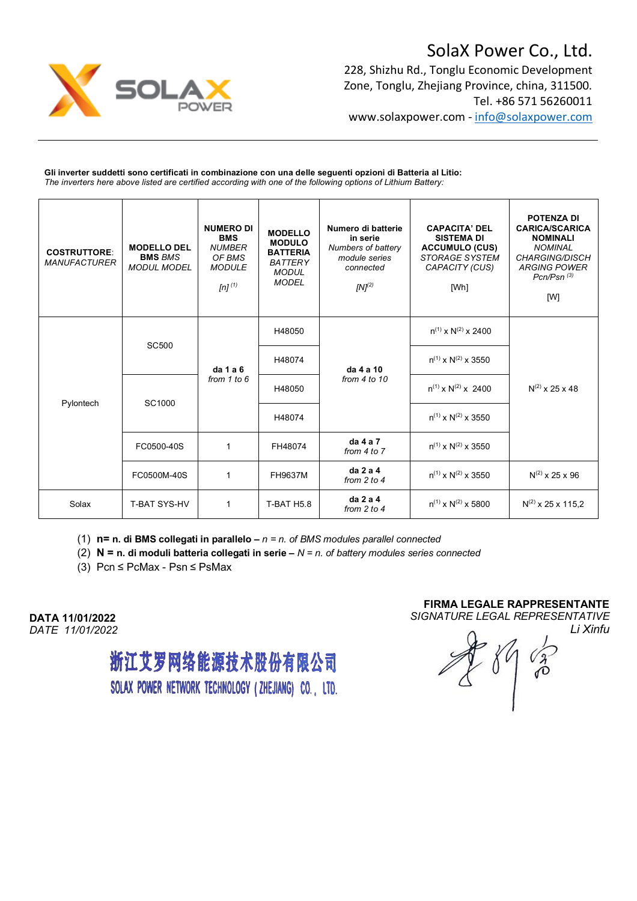

# SolaX Power Co., Ltd.

228, Shizhu Rd., Tonglu Economic Development Zone, Tonglu, Zhejiang Province, china, 311500. Tel. +86 571 56260011 www.solaxpower.com - info@solaxpower.com

**Gli inverter suddetti sono certificati in combinazione con una delle seguenti opzioni di Batteria al Litio:** *The inverters here above listed are certified according with one of the following options of Lithium Battery:*

| <b>COSTRUTTORE:</b><br><b>MANUFACTURER</b> | <b>MODELLO DEL</b><br><b>BMS BMS</b><br><b>MODUL MODEL</b> | <b>NUMERO DI</b><br><b>BMS</b><br><b>NUMBER</b><br>OF BMS<br><b>MODULE</b><br>[n] $(1)$ | <b>MODELLO</b><br><b>MODULO</b><br><b>BATTERIA</b><br><b>BATTERY</b><br><b>MODUL</b><br><b>MODEL</b> | Numero di batterie<br>in serie<br>Numbers of battery<br>module series<br>connected<br>$[N]^{(2)}$ | <b>CAPACITA' DEL</b><br><b>SISTEMA DI</b><br><b>ACCUMULO (CUS)</b><br>STORAGE SYSTEM<br>CAPACITY (CUS)<br>[Wh] | <b>POTENZA DI</b><br><b>CARICA/SCARICA</b><br><b>NOMINALI</b><br><b>NOMINAL</b><br><b>CHARGING/DISCH</b><br><b>ARGING POWER</b><br>$Pcn/Psn$ $(3)$<br>[W] |
|--------------------------------------------|------------------------------------------------------------|-----------------------------------------------------------------------------------------|------------------------------------------------------------------------------------------------------|---------------------------------------------------------------------------------------------------|----------------------------------------------------------------------------------------------------------------|-----------------------------------------------------------------------------------------------------------------------------------------------------------|
| Pylontech                                  | <b>SC500</b>                                               | da 1 a 6<br>from $1$ to $6$                                                             | H48050                                                                                               | da 4 a 10<br>from $4$ to $10$                                                                     | $n^{(1)}$ x $N^{(2)}$ x 2400                                                                                   |                                                                                                                                                           |
|                                            |                                                            |                                                                                         | H48074                                                                                               |                                                                                                   | $n^{(1)}$ x N <sup>(2)</sup> x 3550                                                                            |                                                                                                                                                           |
|                                            | SC1000                                                     |                                                                                         | H48050                                                                                               |                                                                                                   | $n^{(1)} \times N^{(2)} \times 2400$                                                                           | $N^{(2)}$ x 25 x 48                                                                                                                                       |
|                                            |                                                            |                                                                                         | H48074                                                                                               |                                                                                                   | $n^{(1)}$ x N <sup>(2)</sup> x 3550                                                                            |                                                                                                                                                           |
|                                            | FC0500-40S                                                 | $\mathbf{1}$                                                                            | FH48074                                                                                              | $da$ 4 a 7<br>from $4$ to $7$                                                                     | $n^{(1)}$ x N <sup>(2)</sup> x 3550                                                                            |                                                                                                                                                           |
|                                            | FC0500M-40S                                                | 1                                                                                       | FH9637M                                                                                              | da 2 a 4<br>from $2$ to $4$                                                                       | $n^{(1)}$ x N <sup>(2)</sup> x 3550                                                                            | $N^{(2)}$ x 25 x 96                                                                                                                                       |
| Solax                                      | <b>T-BAT SYS-HV</b>                                        | 1                                                                                       | <b>T-BAT H5.8</b>                                                                                    | da 2 a 4<br>from $2$ to $4$                                                                       | $n^{(1)}$ x N <sup>(2)</sup> x 5800                                                                            | $N^{(2)}$ x 25 x 115,2                                                                                                                                    |

(1) **n= n. di BMS collegati in parallelo –** *n = n. of BMS modules parallel connected*

(2) **N = n. di moduli batteria collegati in serie –** *N = n. of battery modules series connected*

(3) Pcn  $\leq$  PcMax - Psn  $\leq$  PsMax

**DATA 11/01/2022** *DATE 11/01/2022*

> 浙江艾罗网络能源技术股份有限公司 SOLAX POWER NETWORK TECHNOLOGY (ZHEJIANG) CO., LTD.

**FIRMA LEGALE RAPPRESENTANTE**  *SIGNATURE LEGAL REPRESENTATIVE Li Xinfu*

**CAN**  $\delta^{\prime}$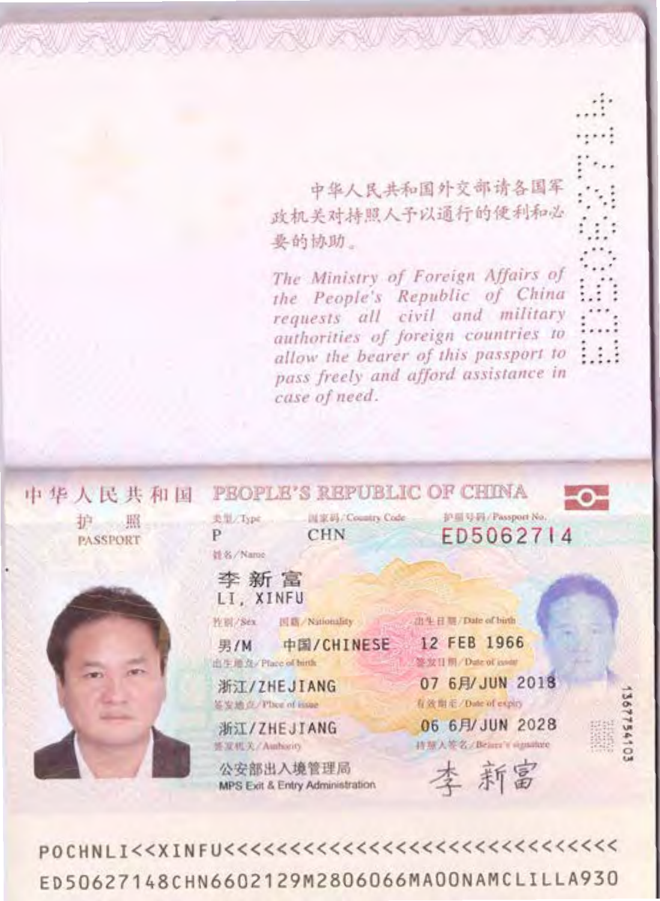中华人民共和国外交部请各国军 政机关对持照人予以通行的便利和必 要的协助。

WENT Y FINE WENT Y WENT

The Ministry of Foreign Affairs of the People's Republic of China requests all civil and military authorities of foreign countries to allow the bearer of this passport to pass freely and afford assistance in case of need.



ED50627148CHN6602129M2806066MA00NAMCLILLA930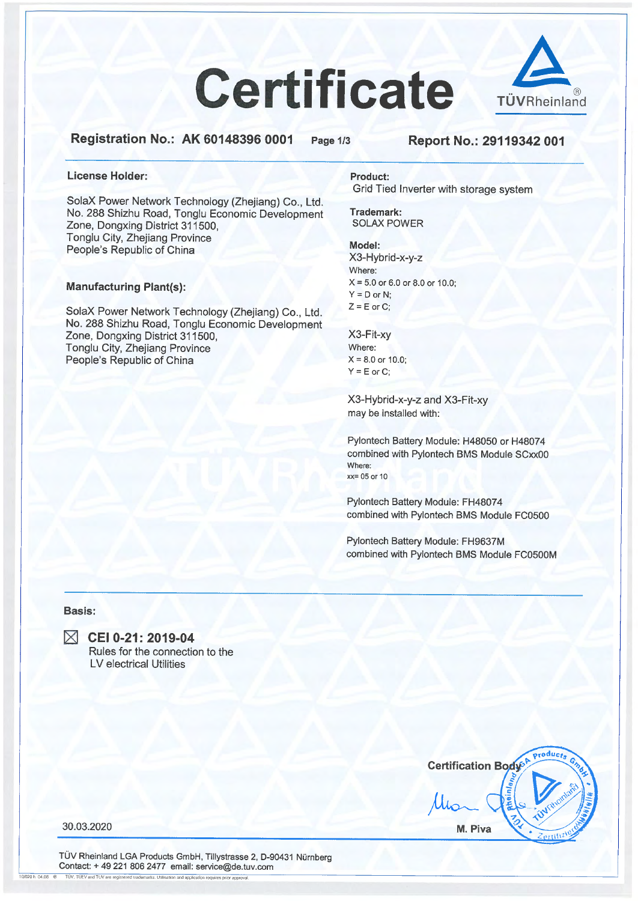# **Certificate**



Registration No.: AK 60148396 0001

Page 1/3

#### Report No.: 29119342 001

#### License Holder:

SolaX Power Network Technology (Zhejiang) Co., Ltd. No. 288 Shizhu Road, Tonglu Economic Development Zone, Dongxing District 311500, Tonglu City, Zhejiang Province People's Republic of China

#### **Manufacturing Plant(s):**

SolaX Power Network Technology (Zhejiang) Co., Ltd. No. 288 Shizhu Road, Tonglu Economic Development Zone, Dongxing District 311500, Tonglu City, Zhejiang Province People's Republic of China

**Product:** Grid Tied Inverter with storage system

Trademark: **SOLAX POWER** 

#### Model:

X3-Hybrid-x-y-z Where:  $X = 5.0$  or 6.0 or 8.0 or 10.0;  $Y = D$  or N:  $Z = E$  or C;

X3-Fit-xy Where:  $X = 8.0$  or 10.0;  $Y = E$  or C:

X3-Hybrid-x-y-z and X3-Fit-xy may be installed with:

Pylontech Battery Module: H48050 or H48074 combined with Pylontech BMS Module SCxx00 Where:  $xx = 05$  or 10

Pylontech Battery Module: FH48074 combined with Pylontech BMS Module FC0500

Pylontech Battery Module: FH9637M combined with Pylontech BMS Module FC0500M

#### Basis:



■ CEI 0-21: 2019-04 Rules for the connection to the **LV** electrical Utilities



30.03.2020

TÜV Rheinland LGA Products GmbH, Tillystrasse 2, D-90431 Nürnberg Contact: + 49 221 806 2477 email: service@de.tuv.com  $10/020h$  04.08  $%$ TUV, TUEV and TUV are registered trademarks. Utilisation and application requires prior appr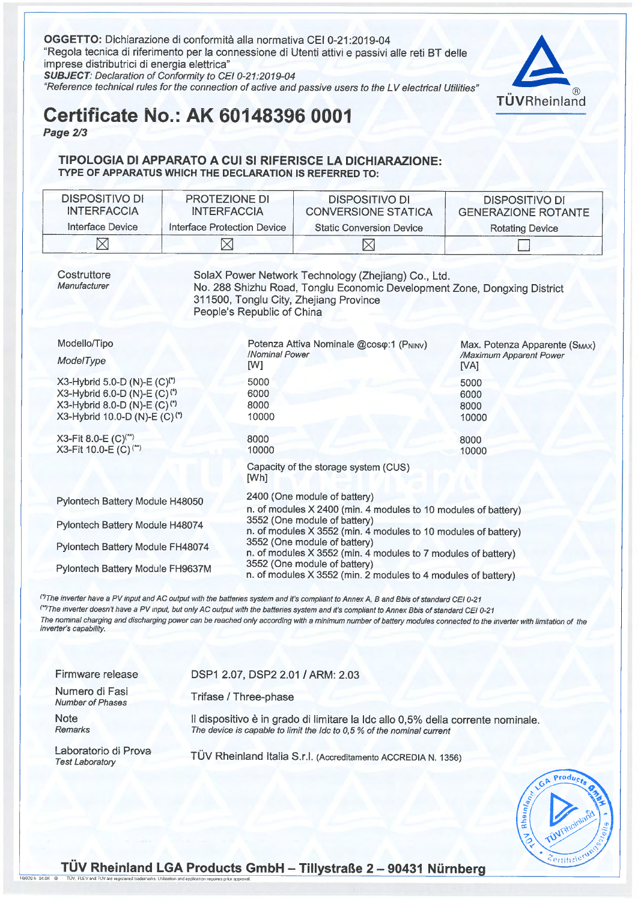OGGETTO: Dichiarazione di conformità alla normativa CEI 0-21:2019-04 "Regola tecnica di riferimento per la connessione di Utenti attivi e passivi alle reti BT delle imprese distributrici di energia elettrica"



SUBJECT: Declaration of Conformity to CEI 0-21:2019-04

"Reference technical rules for the connection of active and passive users to the LV electrical Utilities"

# **Certificate No.: AK 60148396 0001**

Page 2/3

#### TIPOLOGIA DI APPARATO A CUI SI RIFERISCE LA DICHIARAZIONE: TYPE OF APPARATUS WHICH THE DECLARATION IS REFERRED TO:

| DISPOSITIVO DI<br><b>INTERFACCIA</b> | <b>PROTEZIONE DI</b><br><b>INTERFACCIA</b> | <b>DISPOSITIVO DI</b><br><b>CONVERSIONE STATICA</b> | <b>DISPOSITIVO DI</b><br><b>GENERAZIONE ROTANTE</b> |
|--------------------------------------|--------------------------------------------|-----------------------------------------------------|-----------------------------------------------------|
| Interface Device                     | Interface Protection Device                | <b>Static Conversion Device</b>                     | <b>Rotating Device</b>                              |
|                                      |                                            |                                                     |                                                     |

Costruttore Manufacturer

10/020 h 04.08 <sup>@</sup>

SolaX Power Network Technology (Zhejiang) Co., Ltd. No. 288 Shizhu Road, Tonglu Economic Development Zone, Dongxing District 311500, Tonglu City, Zhejiang Province People's Republic of China

| Modello/Tipo<br>ModelType                                                                                                                                                     | Potenza Attiva Nominale @coso:1 (PNINV)<br>/Nominal Power<br>[W]                                                                                                                                                                                                                                 | Max. Potenza Apparente (S <sub>MAX</sub> )<br>/Maximum Apparent Power<br>[VA] |  |
|-------------------------------------------------------------------------------------------------------------------------------------------------------------------------------|--------------------------------------------------------------------------------------------------------------------------------------------------------------------------------------------------------------------------------------------------------------------------------------------------|-------------------------------------------------------------------------------|--|
| X3-Hybrid 5.0-D (N)-E (C) <sup>(*)</sup><br>X3-Hybrid 6.0-D (N)-E (C) <sup>(*)</sup><br>X3-Hybrid 8.0-D (N)-E (C) <sup>(*)</sup><br>X3-Hybrid 10.0-D (N)-E (C) <sup>(*)</sup> | 5000<br>6000<br>8000<br>10000                                                                                                                                                                                                                                                                    | 5000<br>6000<br>8000<br>10000                                                 |  |
| X3-Fit 8.0-E $(C)^{(*)}$<br>X3-Fit 10.0-E (C) <sup>(**)</sup>                                                                                                                 | 8000<br>10000<br>Capacity of the storage system (CUS)<br>[Wh]                                                                                                                                                                                                                                    | 8000<br>10000                                                                 |  |
| Pylontech Battery Module H48050                                                                                                                                               | 2400 (One module of battery)<br>n. of modules X 2400 (min. 4 modules to 10 modules of battery)                                                                                                                                                                                                   |                                                                               |  |
| Pylontech Battery Module H48074                                                                                                                                               | 3552 (One module of battery)<br>n. of modules X 3552 (min. 4 modules to 10 modules of battery)<br>3552 (One module of battery)<br>n. of modules X 3552 (min. 4 modules to 7 modules of battery)<br>3552 (One module of battery)<br>n. of modules X 3552 (min. 2 modules to 4 modules of battery) |                                                                               |  |
| Pylontech Battery Module FH48074                                                                                                                                              |                                                                                                                                                                                                                                                                                                  |                                                                               |  |
| Pylontech Battery Module FH9637M                                                                                                                                              |                                                                                                                                                                                                                                                                                                  |                                                                               |  |

(') The inverter have a PV input and AC output with the batteries system and it's compliant to Annex A, B and Bbis of standard CEI 0-21 <sup>(\*\*)</sup>The inverter doesn't have a PV input, but only AC output with the batteries system and it's compliant to Annex Bbis of standard CEI 0-21 The nominal charging and discharging power can be reached only according with a minimum number of battery modules connected to the inverter with limitation of the inverter's capability.

| Firmware release                               | DSP1 2.07, DSP2 2.01 / ARM: 2.03                                                                                                                          |
|------------------------------------------------|-----------------------------------------------------------------------------------------------------------------------------------------------------------|
| Numero di Fasi<br><b>Number of Phases</b>      | Trifase / Three-phase                                                                                                                                     |
| <b>Note</b><br>Remarks                         | Il dispositivo è in grado di limitare la Idc allo 0,5% della corrente nominale.<br>The device is capable to limit the Idc to 0,5 % of the nominal current |
| Laboratorio di Prova<br><b>Test Laboratory</b> | TÜV Rheinland Italia S.r.l. (Accreditamento ACCREDIA N. 1356)                                                                                             |

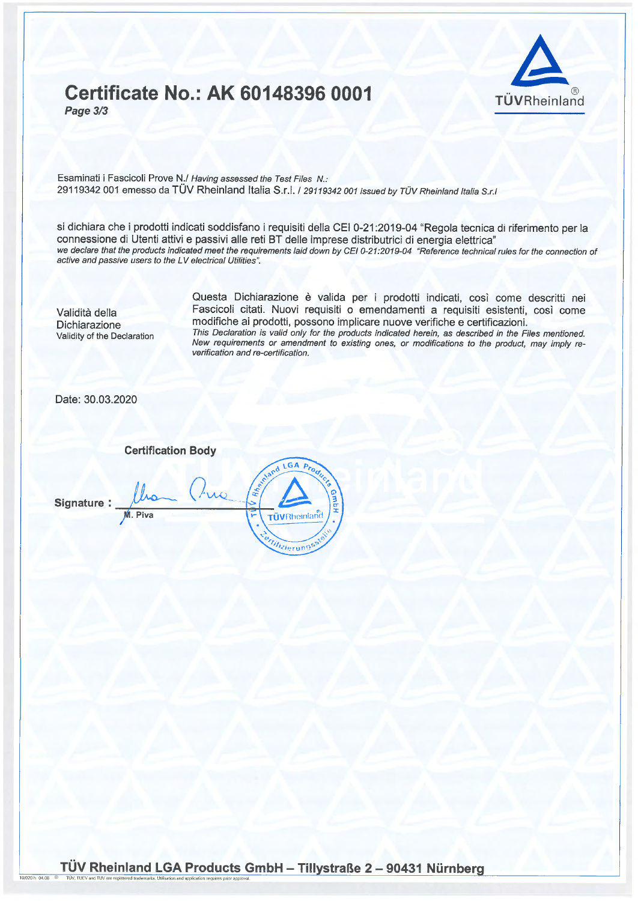## **Certificate No.: AK 60148396 0001** Page 3/3



Esaminati i Fascicoli Prove N./ Having assessed the Test Files N.: 29119342 001 emesso da TÜV Rheinland Italia S.r.l. / 29119342 001 issued by TÜV Rheinland Italia S.r.l

si dichiara che i prodotti indicati soddisfano i requisiti della CEI 0-21:2019-04 "Regola tecnica di riferimento per la connessione di Utenti attivi e passivi alle reti BT delle imprese distributrici di energia elettrica" we declare that the products indicated meet the requirements laid down by CEI 0-21:2019-04 "Reference technical rules for the connection of active and passive users to the LV electrical Utilities".

Validità della **Dichiarazione** Validity of the Declaration

Questa Dichiarazione è valida per i prodotti indicati, così come descritti nei Fascicoli citati. Nuovi requisiti o emendamenti a requisiti esistenti, così come modifiche ai prodotti, possono implicare nuove verifiche e certificazioni. This Declaration is valid only for the products indicated herein, as described in the Files mentioned. New requirements or amendment to existing ones, or modifications to the product, may imply reverification and re-certification.

Date: 30.03.2020

**Certification Body** 

Signature:

10/020 h 04.08

LGA P **TÜVRheinland** *Ulizierung*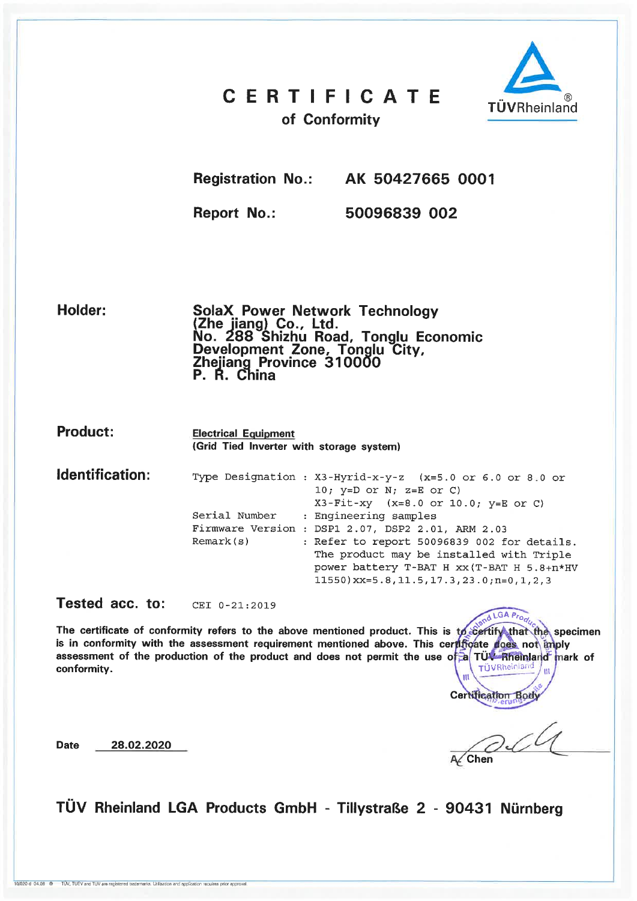## **CERTIFICATE**



of Conformity

**Registration No.:** 

AK 50427665 0001

**Report No.:** 

50096839 002

Holder:

**SolaX Power Network Technology** Solan Fower Network Technology<br>(Zhe jiang) Co., Ltd.<br>No. 288 Shizhu Road, Tonglu Economic<br>Development Zone, Tonglu City,<br>Zhejiang Province 310000 P. R. China

**Product:** 

**Date** 

**Electrical Equipment** (Grid Tied Inverter with storage system)

Identification: Type Designation : X3-Hyrid-x-y-z (x=5.0 or 6.0 or 8.0 or 10;  $y=D$  or  $N$ ;  $z=E$  or  $C$ )  $X3-Fit-xy$   $(x=8.0 or 10.0; y=E or C)$ Serial Number : Engineering samples Firmware Version : DSP1 2.07, DSP2 2.01, ARM 2.03  $Remark(s)$ : Refer to report 50096839 002 for details. The product may be installed with Triple power battery T-BAT H xx (T-BAT H 5.8+n\*HV  $11550$ ) xx=5.8, 11.5, 17.3, 23.0; n=0, 1, 2, 3

Tested acc. to: CEI 0-21:2019

28.02.2020

and LGA Prod The certificate of conformity refers to the above mentioned product. This is to certify that the specimen is in conformity with the assessment requirement mentioned above. This certificate does not imply assessment of the production of the product and does not permit the use of a TÜV-Rheinland mark of TÜVRheinlarn conformity.

**Certification Body** 

**Chen** 

TÜV Rheinland LGA Products GmbH - Tillystraße 2 - 90431 Nürnberg